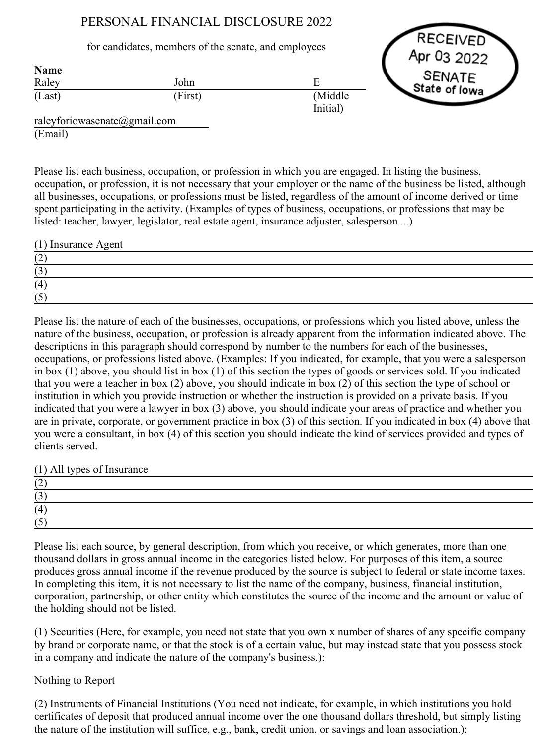## PERSONAL FINANCIAL DISCLOSURE 2022

## for candidates, members of the senate, and employees

| <b>Name</b> |         |                     |
|-------------|---------|---------------------|
| Raley       | John    |                     |
| (Last)      | (First) | (Middle<br>Initial) |



raleyforiowasenate@gmail.com (Email)

Please list each business, occupation, or profession in which you are engaged. In listing the business, occupation, or profession, it is not necessary that your employer or the name of the business be listed, although all businesses, occupations, or professions must be listed, regardless of the amount of income derived or time spent participating in the activity. (Examples of types of business, occupations, or professions that may be listed: teacher, lawyer, legislator, real estate agent, insurance adjuster, salesperson....)

| (1) Insurance Agent             |  |
|---------------------------------|--|
| $\overline{\phantom{a}}$        |  |
| $\overline{\phantom{a}}$<br>ر . |  |
| (4)                             |  |
| $\overline{\phantom{a}}$        |  |

Please list the nature of each of the businesses, occupations, or professions which you listed above, unless the nature of the business, occupation, or profession is already apparent from the information indicated above. The descriptions in this paragraph should correspond by number to the numbers for each of the businesses, occupations, or professions listed above. (Examples: If you indicated, for example, that you were a salesperson in box (1) above, you should list in box (1) of this section the types of goods or services sold. If you indicated that you were a teacher in box (2) above, you should indicate in box (2) of this section the type of school or institution in which you provide instruction or whether the instruction is provided on a private basis. If you indicated that you were a lawyer in box (3) above, you should indicate your areas of practice and whether you are in private, corporate, or government practice in box (3) of this section. If you indicated in box (4) above that you were a consultant, in box (4) of this section you should indicate the kind of services provided and types of clients served.

(1) All types of Insurance

| ' ~                  |  |  |
|----------------------|--|--|
| $\sim$<br>1 J        |  |  |
| $\overline{4}$       |  |  |
| $\rightarrow$<br>' ~ |  |  |

Please list each source, by general description, from which you receive, or which generates, more than one thousand dollars in gross annual income in the categories listed below. For purposes of this item, a source produces gross annual income if the revenue produced by the source is subject to federal or state income taxes. In completing this item, it is not necessary to list the name of the company, business, financial institution, corporation, partnership, or other entity which constitutes the source of the income and the amount or value of the holding should not be listed.

(1) Securities (Here, for example, you need not state that you own x number of shares of any specific company by brand or corporate name, or that the stock is of a certain value, but may instead state that you possess stock in a company and indicate the nature of the company's business.):

## Nothing to Report

(2) Instruments of Financial Institutions (You need not indicate, for example, in which institutions you hold certificates of deposit that produced annual income over the one thousand dollars threshold, but simply listing the nature of the institution will suffice, e.g., bank, credit union, or savings and loan association.):